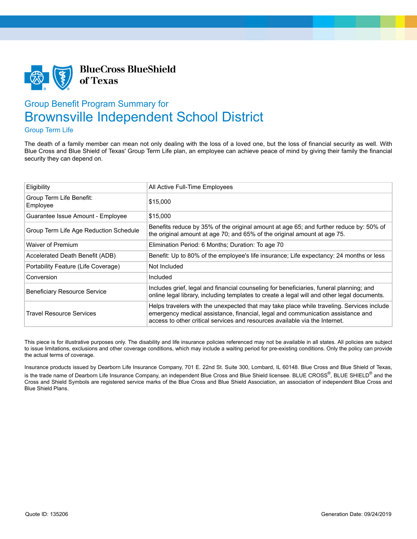

## Group Benefit Program Summary for Brownsville Independent School District

## Group Term Life

The death of a family member can mean not only dealing with the loss of a loved one, but the loss of financial security as well. With Blue Cross and Blue Shield of Texas' Group Term Life plan, an employee can achieve peace of mind by giving their family the financial security they can depend on.

| Eligibility                            | All Active Full-Time Employees                                                                                                                                                                                                                              |  |
|----------------------------------------|-------------------------------------------------------------------------------------------------------------------------------------------------------------------------------------------------------------------------------------------------------------|--|
| Group Term Life Benefit:<br>Employee   | \$15,000                                                                                                                                                                                                                                                    |  |
| Guarantee Issue Amount - Employee      | \$15,000                                                                                                                                                                                                                                                    |  |
| Group Term Life Age Reduction Schedule | Benefits reduce by 35% of the original amount at age 65; and further reduce by: 50% of<br>the original amount at age 70; and 65% of the original amount at age 75.                                                                                          |  |
| Waiver of Premium                      | Elimination Period: 6 Months; Duration: To age 70                                                                                                                                                                                                           |  |
| Accelerated Death Benefit (ADB)        | Benefit: Up to 80% of the employee's life insurance; Life expectancy: 24 months or less                                                                                                                                                                     |  |
| Portability Feature (Life Coverage)    | Not Included                                                                                                                                                                                                                                                |  |
| Conversion                             | Included                                                                                                                                                                                                                                                    |  |
| <b>Beneficiary Resource Service</b>    | Includes grief, legal and financial counseling for beneficiaries, funeral planning; and<br>online legal library, including templates to create a legal will and other legal documents.                                                                      |  |
| <b>Travel Resource Services</b>        | Helps travelers with the unexpected that may take place while traveling. Services include<br>emergency medical assistance, financial, legal and communication assistance and<br>access to other critical services and resources available via the Internet. |  |

This piece is for illustrative purposes only. The disability and life insurance policies referenced may not be available in all states. All policies are subject to issue limitations, exclusions and other coverage conditions, which may include a waiting period for pre-existing conditions. Only the policy can provide the actual terms of coverage.

Insurance products issued by Dearborn Life Insurance Company, 701 E. 22nd St. Suite 300, Lombard, IL 60148. Blue Cross and Blue Shield of Texas, is the trade name of Dearborn Life Insurance Company, an independent Blue Cross and Blue Shield licensee. BLUE CROSS®, BLUE SHIELD® and the Cross and Shield Symbols are registered service marks of the Blue Cross and Blue Shield Association, an association of independent Blue Cross and Blue Shield Plans.